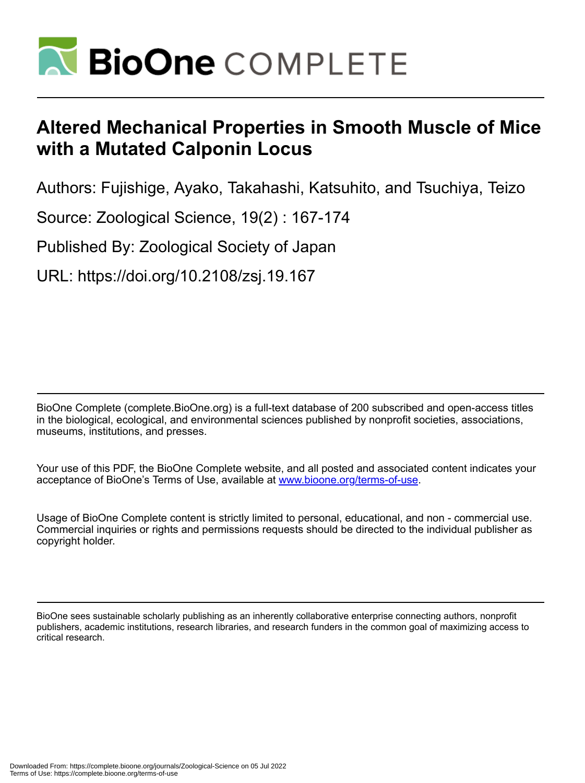

# **Altered Mechanical Properties in Smooth Muscle of Mice with a Mutated Calponin Locus**

Authors: Fujishige, Ayako, Takahashi, Katsuhito, and Tsuchiya, Teizo

Source: Zoological Science, 19(2) : 167-174

Published By: Zoological Society of Japan

URL: https://doi.org/10.2108/zsj.19.167

BioOne Complete (complete.BioOne.org) is a full-text database of 200 subscribed and open-access titles in the biological, ecological, and environmental sciences published by nonprofit societies, associations, museums, institutions, and presses.

Your use of this PDF, the BioOne Complete website, and all posted and associated content indicates your acceptance of BioOne's Terms of Use, available at www.bioone.org/terms-of-use.

Usage of BioOne Complete content is strictly limited to personal, educational, and non - commercial use. Commercial inquiries or rights and permissions requests should be directed to the individual publisher as copyright holder.

BioOne sees sustainable scholarly publishing as an inherently collaborative enterprise connecting authors, nonprofit publishers, academic institutions, research libraries, and research funders in the common goal of maximizing access to critical research.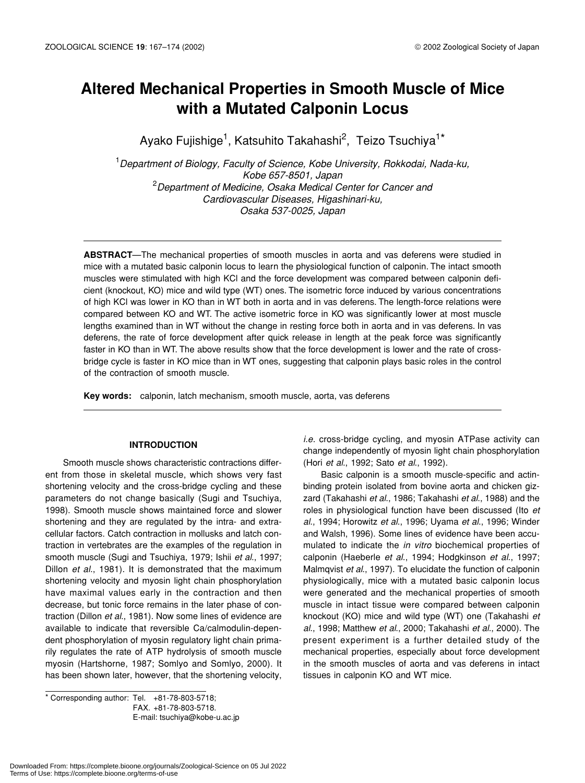# **Altered Mechanical Properties in Smooth Muscle of Mice with a Mutated Calponin Locus**

Ayako Fujishige<sup>1</sup>, Katsuhito Takahashi<sup>2</sup>, Teizo Tsuchiya<sup>1\*</sup>

1 *Department of Biology, Faculty of Science, Kobe University, Rokkodai, Nada-ku, Kobe 657-8501, Japan* 2 *Department of Medicine, Osaka Medical Center for Cancer and Cardiovascular Diseases, Higashinari-ku, Osaka 537-0025, Japan*

**ABSTRACT**—The mechanical properties of smooth muscles in aorta and vas deferens were studied in mice with a mutated basic calponin locus to learn the physiological function of calponin. The intact smooth muscles were stimulated with high KCl and the force development was compared between calponin deficient (knockout, KO) mice and wild type (WT) ones. The isometric force induced by various concentrations of high KCl was lower in KO than in WT both in aorta and in vas deferens. The length-force relations were compared between KO and WT. The active isometric force in KO was significantly lower at most muscle lengths examined than in WT without the change in resting force both in aorta and in vas deferens. In vas deferens, the rate of force development after quick release in length at the peak force was significantly faster in KO than in WT. The above results show that the force development is lower and the rate of crossbridge cycle is faster in KO mice than in WT ones, suggesting that calponin plays basic roles in the control of the contraction of smooth muscle.

**Key words:** calponin, latch mechanism, smooth muscle, aorta, vas deferens

#### **INTRODUCTION**

Smooth muscle shows characteristic contractions different from those in skeletal muscle, which shows very fast shortening velocity and the cross-bridge cycling and these parameters do not change basically (Sugi and Tsuchiya, 1998). Smooth muscle shows maintained force and slower shortening and they are regulated by the intra- and extracellular factors. Catch contraction in mollusks and latch contraction in vertebrates are the examples of the regulation in smooth muscle (Sugi and Tsuchiya, 1979; Ishii *et al*., 1997; Dillon *et al*., 1981). It is demonstrated that the maximum shortening velocity and myosin light chain phosphorylation have maximal values early in the contraction and then decrease, but tonic force remains in the later phase of contraction (Dillon *et al*., 1981). Now some lines of evidence are available to indicate that reversible Ca/calmodulin-dependent phosphorylation of myosin regulatory light chain primarily regulates the rate of ATP hydrolysis of smooth muscle myosin (Hartshorne, 1987; Somlyo and Somlyo, 2000). It has been shown later, however, that the shortening velocity,

 $*$  Corresponding author: Tel.  $+81-78-803-5718$ ; FAX. +81-78-803-5718. E-mail: tsuchiya@kobe-u.ac.jp *i.e.* cross-bridge cycling, and myosin ATPase activity can change independently of myosin light chain phosphorylation (Hori *et al*., 1992; Sato *et al*., 1992).

Basic calponin is a smooth muscle-specific and actinbinding protein isolated from bovine aorta and chicken gizzard (Takahashi *et al*., 1986; Takahashi *et al*., 1988) and the roles in physiological function have been discussed (Ito *et al*., 1994; Horowitz *et al*., 1996; Uyama *et al*., 1996; Winder and Walsh, 1996). Some lines of evidence have been accumulated to indicate the *in vitro* biochemical properties of calponin (Haeberle *et al*., 1994; Hodgkinson *et al*., 1997; Malmqvist *et al*., 1997). To elucidate the function of calponin physiologically, mice with a mutated basic calponin locus were generated and the mechanical properties of smooth muscle in intact tissue were compared between calponin knockout (KO) mice and wild type (WT) one (Takahashi *et al*., 1998; Matthew *et al*., 2000; Takahashi *et al*., 2000). The present experiment is a further detailed study of the mechanical properties, especially about force development in the smooth muscles of aorta and vas deferens in intact tissues in calponin KO and WT mice.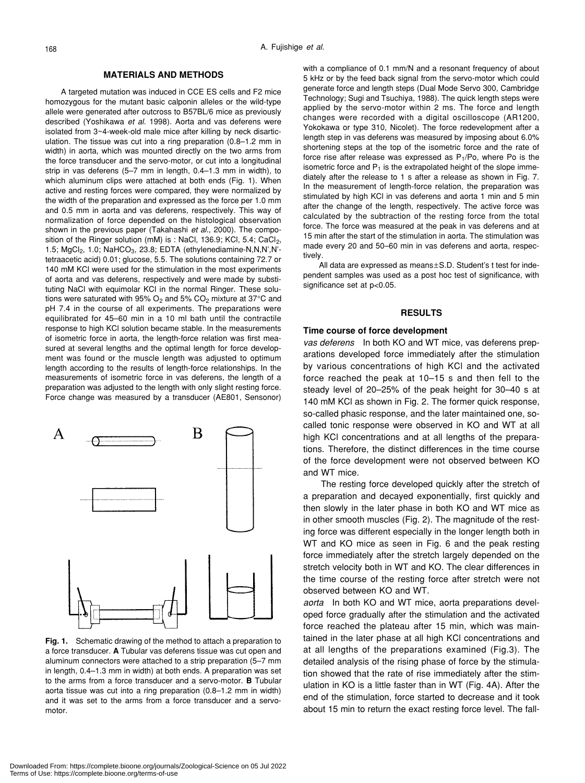## **MATERIALS AND METHODS**

A targeted mutation was induced in CCE ES cells and F2 mice homozygous for the mutant basic calponin alleles or the wild-type allele were generated after outcross to B57BL/6 mice as previously described (Yoshikawa *et al*. 1998). Aorta and vas deferens were isolated from 3~4-week-old male mice after killing by neck disarticulation. The tissue was cut into a ring preparation (0.8–1.2 mm in width) in aorta, which was mounted directly on the two arms from the force transducer and the servo-motor, or cut into a longitudinal strip in vas deferens (5–7 mm in length, 0.4–1.3 mm in width), to which aluminum clips were attached at both ends (Fig. 1). When active and resting forces were compared, they were normalized by the width of the preparation and expressed as the force per 1.0 mm and 0.5 mm in aorta and vas deferens, respectively. This way of normalization of force depended on the histological observation shown in the previous paper (Takahashi *et al*., 2000). The composition of the Ringer solution (mM) is : NaCl, 136.9; KCl, 5.4; CaCl<sub>2</sub>, 1.5; MgCl<sub>2</sub>, 1.0; NaHCO<sub>3</sub>, 23.8; EDTA (ethylenediamine-N,N,N',N'tetraacetic acid) 0.01; glucose, 5.5. The solutions containing 72.7 or 140 mM KCl were used for the stimulation in the most experiments of aorta and vas deferens, respectively and were made by substituting NaCl with equimolar KCl in the normal Ringer. These solutions were saturated with 95%  $O_2$  and 5%  $CO_2$  mixture at 37°C and pH 7.4 in the course of all experiments. The preparations were equilibrated for 45–60 min in a 10 ml bath until the contractile response to high KCl solution became stable. In the measurements of isometric force in aorta, the length-force relation was first measured at several lengths and the optimal length for force development was found or the muscle length was adjusted to optimum length according to the results of length-force relationships. In the measurements of isometric force in vas deferens, the length of a preparation was adjusted to the length with only slight resting force. Force change was measured by a transducer (AE801, Sensonor)



**Fig. 1.** Schematic drawing of the method to attach a preparation to a force transducer. **A** Tubular vas deferens tissue was cut open and aluminum connectors were attached to a strip preparation (5–7 mm in length, 0.4–1.3 mm in width) at both ends. A preparation was set to the arms from a force transducer and a servo-motor. **B** Tubular aorta tissue was cut into a ring preparation (0.8–1.2 mm in width) and it was set to the arms from a force transducer and a servomotor.

with a compliance of 0.1 mm/N and a resonant frequency of about 5 kHz or by the feed back signal from the servo-motor which could generate force and length steps (Dual Mode Servo 300, Cambridge Technology; Sugi and Tsuchiya, 1988). The quick length steps were applied by the servo-motor within 2 ms. The force and length changes were recorded with a digital oscilloscope (AR1200, Yokokawa or type 310, Nicolet). The force redevelopment after a length step in vas deferens was measured by imposing about 6.0% shortening steps at the top of the isometric force and the rate of force rise after release was expressed as  $P_1/P_0$ , where Po is the isometric force and  $P_1$  is the extrapolated height of the slope immediately after the release to 1 s after a release as shown in Fig. 7. In the measurement of length-force relation, the preparation was stimulated by high KCl in vas deferens and aorta 1 min and 5 min after the change of the length, respectively. The active force was calculated by the subtraction of the resting force from the total force. The force was measured at the peak in vas deferens and at 15 min after the start of the stimulation in aorta. The stimulation was made every 20 and 50–60 min in vas deferens and aorta, respectively.

All data are expressed as means±S.D. Student's t test for independent samples was used as a post hoc test of significance, with significance set at p<0.05.

#### **RESULTS**

#### **Time course of force development**

*vas deferens* In both KO and WT mice, vas deferens preparations developed force immediately after the stimulation by various concentrations of high KCl and the activated force reached the peak at 10–15 s and then fell to the steady level of 20–25% of the peak height for 30–40 s at 140 mM KCl as shown in Fig. 2. The former quick response, so-called phasic response, and the later maintained one, socalled tonic response were observed in KO and WT at all high KCl concentrations and at all lengths of the preparations. Therefore, the distinct differences in the time course of the force development were not observed between KO and WT mice.

The resting force developed quickly after the stretch of a preparation and decayed exponentially, first quickly and then slowly in the later phase in both KO and WT mice as in other smooth muscles (Fig. 2). The magnitude of the resting force was different especially in the longer length both in WT and KO mice as seen in Fig. 6 and the peak resting force immediately after the stretch largely depended on the stretch velocity both in WT and KO. The clear differences in the time course of the resting force after stretch were not observed between KO and WT.

*aorta* In both KO and WT mice, aorta preparations developed force gradually after the stimulation and the activated force reached the plateau after 15 min, which was maintained in the later phase at all high KCl concentrations and at all lengths of the preparations examined (Fig.3). The detailed analysis of the rising phase of force by the stimulation showed that the rate of rise immediately after the stimulation in KO is a little faster than in WT (Fig. 4A). After the end of the stimulation, force started to decrease and it took about 15 min to return the exact resting force level. The fall-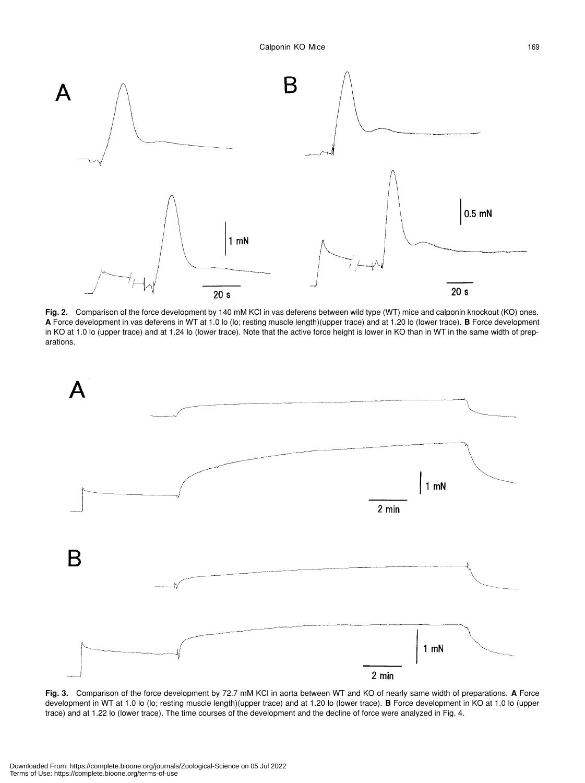

**Fig. 2.** Comparison of the force development by 140 mM KCl in vas deferens between wild type (WT) mice and calponin knockout (KO) ones. **A** Force development in vas deferens in WT at 1.0 lo (lo; resting muscle length)(upper trace) and at 1.20 lo (lower trace). **B** Force development in KO at 1.0 lo (upper trace) and at 1.24 lo (lower trace). Note that the active force height is lower in KO than in WT in the same width of preparations.



**Fig. 3.** Comparison of the force development by 72.7 mM KCl in aorta between WT and KO of nearly same width of preparations. **A** Force development in WT at 1.0 lo (lo; resting muscle length)(upper trace) and at 1.20 lo (lower trace). **B** Force development in KO at 1.0 lo (upper trace) and at 1.22 lo (lower trace). The time courses of the development and the decline of force were analyzed in Fig. 4.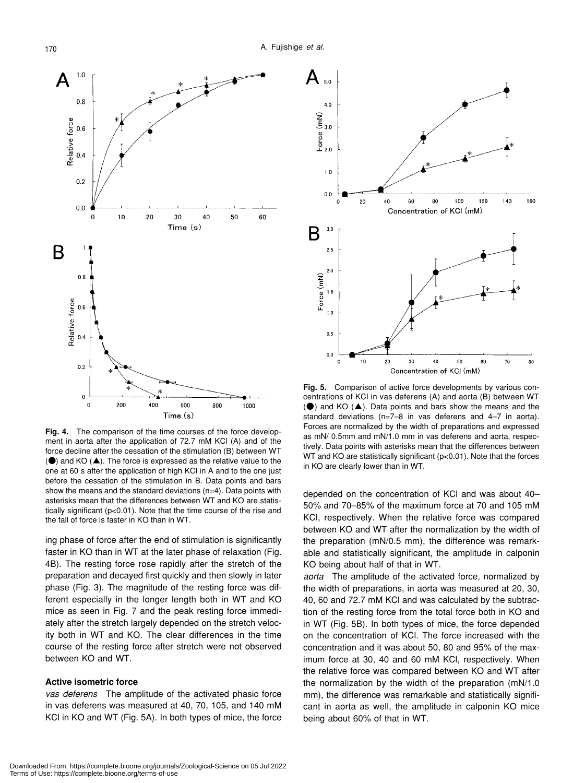

**Fig. 4.** The comparison of the time courses of the force development in aorta after the application of 72.7 mM KCl (A) and of the force decline after the cessation of the stimulation (B) between WT  $\langle \bullet \rangle$  and KO  $(\triangle)$ . The force is expressed as the relative value to the one at 60 s after the application of high KCl in A and to the one just before the cessation of the stimulation in B. Data points and bars show the means and the standard deviations (n=4). Data points with asterisks mean that the differences between WT and KO are statistically significant (p<0.01). Note that the time course of the rise and the fall of force is faster in KO than in WT.

ing phase of force after the end of stimulation is significantly faster in KO than in WT at the later phase of relaxation (Fig. 4B). The resting force rose rapidly after the stretch of the preparation and decayed first quickly and then slowly in later phase (Fig. 3). The magnitude of the resting force was different especially in the longer length both in WT and KO mice as seen in Fig. 7 and the peak resting force immediately after the stretch largely depended on the stretch velocity both in WT and KO. The clear differences in the time course of the resting force after stretch were not observed between KO and WT.

# **Active isometric force**

*vas deferens* The amplitude of the activated phasic force in vas deferens was measured at 40, 70, 105, and 140 mM KCl in KO and WT (Fig. 5A). In both types of mice, the force



**Fig. 5.** Comparison of active force developments by various concentrations of KCl in vas deferens (A) and aorta (B) between WT  $\langle \bullet \rangle$  and KO  $(\triangle)$ . Data points and bars show the means and the standard deviations (n=7–8 in vas deferens and 4–7 in aorta). Forces are normalized by the width of preparations and expressed as mN/ 0.5mm and mN/1.0 mm in vas deferens and aorta, respectively. Data points with asterisks mean that the differences between WT and KO are statistically significant (p<0.01). Note that the forces in KO are clearly lower than in WT.

depended on the concentration of KCl and was about 40– 50% and 70–85% of the maximum force at 70 and 105 mM KCl, respectively. When the relative force was compared between KO and WT after the normalization by the width of the preparation (mN/0.5 mm), the difference was remarkable and statistically significant, the amplitude in calponin KO being about half of that in WT.

*aorta* The amplitude of the activated force, normalized by the width of preparations, in aorta was measured at 20, 30, 40, 60 and 72.7 mM KCl and was calculated by the subtraction of the resting force from the total force both in KO and in WT (Fig. 5B). In both types of mice, the force depended on the concentration of KCl. The force increased with the concentration and it was about 50, 80 and 95% of the maximum force at 30, 40 and 60 mM KCl, respectively. When the relative force was compared between KO and WT after the normalization by the width of the preparation (mN/1.0 mm), the difference was remarkable and statistically significant in aorta as well, the amplitude in calponin KO mice being about 60% of that in WT.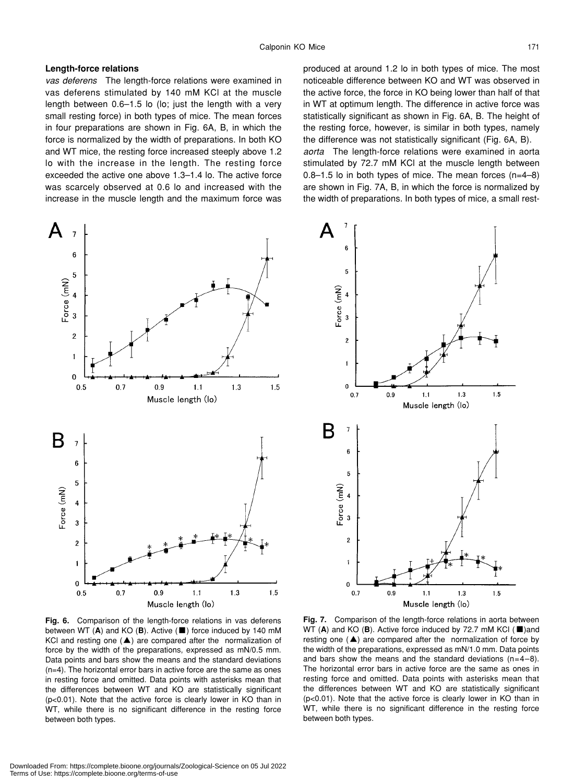### **Length-force relations**

*vas deferens* The length-force relations were examined in vas deferens stimulated by 140 mM KCl at the muscle length between 0.6–1.5 lo (lo; just the length with a very small resting force) in both types of mice. The mean forces in four preparations are shown in Fig. 6A, B, in which the force is normalized by the width of preparations. In both KO and WT mice, the resting force increased steeply above 1.2 lo with the increase in the length. The resting force exceeded the active one above 1.3–1.4 lo. The active force was scarcely observed at 0.6 lo and increased with the increase in the muscle length and the maximum force was produced at around 1.2 lo in both types of mice. The most noticeable difference between KO and WT was observed in the active force, the force in KO being lower than half of that in WT at optimum length. The difference in active force was statistically significant as shown in Fig. 6A, B. The height of the resting force, however, is similar in both types, namely the difference was not statistically significant (Fig. 6A, B). *aorta* The length-force relations were examined in aorta stimulated by 72.7 mM KCl at the muscle length between 0.8–1.5 lo in both types of mice. The mean forces (n=4–8) are shown in Fig. 7A, B, in which the force is normalized by the width of preparations. In both types of mice, a small rest-





**Fig. 6.** Comparison of the length-force relations in vas deferens between WT (**A**) and KO (**B**). Active (■) force induced by 140 mM KCl and resting one (▲) are compared after the normalization of force by the width of the preparations, expressed as mN/0.5 mm. Data points and bars show the means and the standard deviations (n=4). The horizontal error bars in active force are the same as ones in resting force and omitted. Data points with asterisks mean that the differences between WT and KO are statistically significant (p<0.01). Note that the active force is clearly lower in KO than in WT, while there is no significant difference in the resting force between both types.

**Fig. 7.** Comparison of the length-force relations in aorta between WT (**A**) and KO (**B**). Active force induced by 72.7 mM KCl (■)and resting one  $($  $\blacktriangle)$  are compared after the normalization of force by the width of the preparations, expressed as mN/1.0 mm. Data points and bars show the means and the standard deviations  $(n=4-8)$ . The horizontal error bars in active force are the same as ones in resting force and omitted. Data points with asterisks mean that the differences between WT and KO are statistically significant (p<0.01). Note that the active force is clearly lower in KO than in WT, while there is no significant difference in the resting force between both types.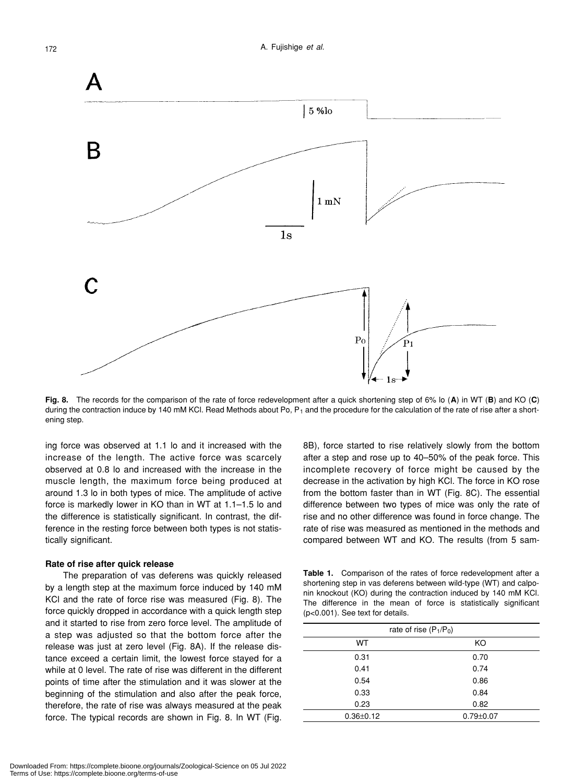

**Fig. 8.** The records for the comparison of the rate of force redevelopment after a quick shortening step of 6% lo (**A**) in WT (**B**) and KO (**C**) during the contraction induce by 140 mM KCl. Read Methods about Po,  $P_1$  and the procedure for the calculation of the rate of rise after a shortening step.

ing force was observed at 1.1 lo and it increased with the increase of the length. The active force was scarcely observed at 0.8 lo and increased with the increase in the muscle length, the maximum force being produced at around 1.3 lo in both types of mice. The amplitude of active force is markedly lower in KO than in WT at 1.1–1.5 lo and the difference is statistically significant. In contrast, the difference in the resting force between both types is not statistically significant.

#### **Rate of rise after quick release**

The preparation of vas deferens was quickly released by a length step at the maximum force induced by 140 mM KCl and the rate of force rise was measured (Fig. 8). The force quickly dropped in accordance with a quick length step and it started to rise from zero force level. The amplitude of a step was adjusted so that the bottom force after the release was just at zero level (Fig. 8A). If the release distance exceed a certain limit, the lowest force stayed for a while at 0 level. The rate of rise was different in the different points of time after the stimulation and it was slower at the beginning of the stimulation and also after the peak force, therefore, the rate of rise was always measured at the peak force. The typical records are shown in Fig. 8. In WT (Fig.

8B), force started to rise relatively slowly from the bottom after a step and rose up to 40–50% of the peak force. This incomplete recovery of force might be caused by the decrease in the activation by high KCl. The force in KO rose from the bottom faster than in WT (Fig. 8C). The essential difference between two types of mice was only the rate of rise and no other difference was found in force change. The rate of rise was measured as mentioned in the methods and compared between WT and KO. The results (from 5 sam-

**Table 1.** Comparison of the rates of force redevelopment after a shortening step in vas deferens between wild-type (WT) and calponin knockout (KO) during the contraction induced by 140 mM KCl. The difference in the mean of force is statistically significant (p<0.001). See text for details.

| rate of rise $(P_1/P_0)$ |                 |
|--------------------------|-----------------|
| WT                       | KO              |
| 0.31                     | 0.70            |
| 0.41                     | 0.74            |
| 0.54                     | 0.86            |
| 0.33                     | 0.84            |
| 0.23                     | 0.82            |
| $0.36 \pm 0.12$          | $0.79 \pm 0.07$ |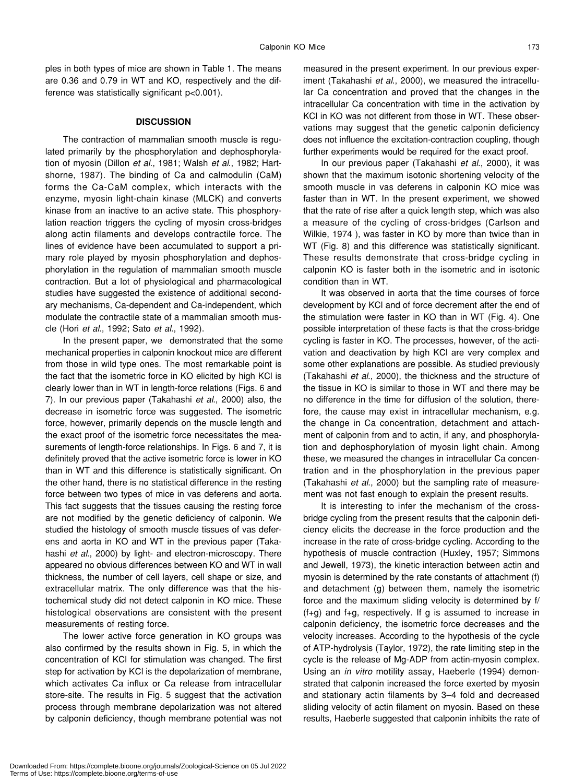ples in both types of mice are shown in Table 1. The means are 0.36 and 0.79 in WT and KO, respectively and the difference was statistically significant p<0.001).

#### **DISCUSSION**

The contraction of mammalian smooth muscle is regulated primarily by the phosphorylation and dephosphorylation of myosin (Dillon *et al*., 1981; Walsh *et al*., 1982; Hartshorne, 1987). The binding of Ca and calmodulin (CaM) forms the Ca-CaM complex, which interacts with the enzyme, myosin light-chain kinase (MLCK) and converts kinase from an inactive to an active state. This phosphorylation reaction triggers the cycling of myosin cross-bridges along actin filaments and develops contractile force. The lines of evidence have been accumulated to support a primary role played by myosin phosphorylation and dephosphorylation in the regulation of mammalian smooth muscle contraction. But a lot of physiological and pharmacological studies have suggested the existence of additional secondary mechanisms, Ca-dependent and Ca-independent, which modulate the contractile state of a mammalian smooth muscle (Hori *et al*., 1992; Sato *et al*., 1992).

In the present paper, we demonstrated that the some mechanical properties in calponin knockout mice are different from those in wild type ones. The most remarkable point is the fact that the isometric force in KO elicited by high KCl is clearly lower than in WT in length-force relations (Figs. 6 and 7). In our previous paper (Takahashi *et al*., 2000) also, the decrease in isometric force was suggested. The isometric force, however, primarily depends on the muscle length and the exact proof of the isometric force necessitates the measurements of length-force relationships. In Figs. 6 and 7, it is definitely proved that the active isometric force is lower in KO than in WT and this difference is statistically significant. On the other hand, there is no statistical difference in the resting force between two types of mice in vas deferens and aorta. This fact suggests that the tissues causing the resting force are not modified by the genetic deficiency of calponin. We studied the histology of smooth muscle tissues of vas deferens and aorta in KO and WT in the previous paper (Takahashi *et al*., 2000) by light- and electron-microscopy. There appeared no obvious differences between KO and WT in wall thickness, the number of cell layers, cell shape or size, and extracellular matrix. The only difference was that the histochemical study did not detect calponin in KO mice. These histological observations are consistent with the present measurements of resting force.

The lower active force generation in KO groups was also confirmed by the results shown in Fig. 5, in which the concentration of KCl for stimulation was changed. The first step for activation by KCl is the depolarization of membrane, which activates Ca influx or Ca release from intracellular store-site. The results in Fig. 5 suggest that the activation process through membrane depolarization was not altered by calponin deficiency, though membrane potential was not

measured in the present experiment. In our previous experiment (Takahashi *et al*., 2000), we measured the intracellular Ca concentration and proved that the changes in the intracellular Ca concentration with time in the activation by KCl in KO was not different from those in WT. These observations may suggest that the genetic calponin deficiency does not influence the excitation-contraction coupling, though further experiments would be required for the exact proof.

In our previous paper (Takahashi *et al*., 2000), it was shown that the maximum isotonic shortening velocity of the smooth muscle in vas deferens in calponin KO mice was faster than in WT. In the present experiment, we showed that the rate of rise after a quick length step, which was also a measure of the cycling of cross-bridges (Carlson and Wilkie, 1974 ), was faster in KO by more than twice than in WT (Fig. 8) and this difference was statistically significant. These results demonstrate that cross-bridge cycling in calponin KO is faster both in the isometric and in isotonic condition than in WT.

It was observed in aorta that the time courses of force development by KCl and of force decrement after the end of the stimulation were faster in KO than in WT (Fig. 4). One possible interpretation of these facts is that the cross-bridge cycling is faster in KO. The processes, however, of the activation and deactivation by high KCl are very complex and some other explanations are possible. As studied previously (Takahashi *et al*., 2000), the thickness and the structure of the tissue in KO is similar to those in WT and there may be no difference in the time for diffusion of the solution, therefore, the cause may exist in intracellular mechanism, e.g. the change in Ca concentration, detachment and attachment of calponin from and to actin, if any, and phosphorylation and dephosphorylation of myosin light chain. Among these, we measured the changes in intracellular Ca concentration and in the phosphorylation in the previous paper (Takahashi *et al*., 2000) but the sampling rate of measurement was not fast enough to explain the present results.

It is interesting to infer the mechanism of the crossbridge cycling from the present results that the calponin deficiency elicits the decrease in the force production and the increase in the rate of cross-bridge cycling. According to the hypothesis of muscle contraction (Huxley, 1957; Simmons and Jewell, 1973), the kinetic interaction between actin and myosin is determined by the rate constants of attachment (f) and detachment (g) between them, namely the isometric force and the maximum sliding velocity is determined by f/  $(f+g)$  and  $f+g$ , respectively. If g is assumed to increase in calponin deficiency, the isometric force decreases and the velocity increases. According to the hypothesis of the cycle of ATP-hydrolysis (Taylor, 1972), the rate limiting step in the cycle is the release of Mg-ADP from actin-myosin complex. Using an *in vitro* motility assay, Haeberle (1994) demonstrated that calponin increased the force exerted by myosin and stationary actin filaments by 3–4 fold and decreased sliding velocity of actin filament on myosin. Based on these results, Haeberle suggested that calponin inhibits the rate of